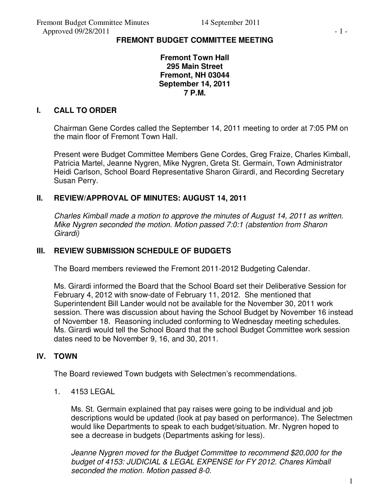# **FREMONT BUDGET COMMITTEE MEETING**

**Fremont Town Hall 295 Main Street Fremont, NH 03044 September 14, 2011 7 P.M.** 

## **I. CALL TO ORDER**

Chairman Gene Cordes called the September 14, 2011 meeting to order at 7:05 PM on the main floor of Fremont Town Hall.

Present were Budget Committee Members Gene Cordes, Greg Fraize, Charles Kimball, Patricia Martel, Jeanne Nygren, Mike Nygren, Greta St. Germain, Town Administrator Heidi Carlson, School Board Representative Sharon Girardi, and Recording Secretary Susan Perry.

#### **II. REVIEW/APPROVAL OF MINUTES: AUGUST 14, 2011**

*Charles Kimball made a motion to approve the minutes of August 14, 2011 as written. Mike Nygren seconded the motion. Motion passed 7:0:1 (abstention from Sharon Girardi)* 

## **III. REVIEW SUBMISSION SCHEDULE OF BUDGETS**

The Board members reviewed the Fremont 2011-2012 Budgeting Calendar.

Ms. Girardi informed the Board that the School Board set their Deliberative Session for February 4, 2012 with snow-date of February 11, 2012. She mentioned that Superintendent Bill Lander would not be available for the November 30, 2011 work session. There was discussion about having the School Budget by November 16 instead of November 18. Reasoning included conforming to Wednesday meeting schedules. Ms. Girardi would tell the School Board that the school Budget Committee work session dates need to be November 9, 16, and 30, 2011.

# **IV. TOWN**

The Board reviewed Town budgets with Selectmen's recommendations.

1. 4153 LEGAL

Ms. St. Germain explained that pay raises were going to be individual and job descriptions would be updated (look at pay based on performance). The Selectmen would like Departments to speak to each budget/situation. Mr. Nygren hoped to see a decrease in budgets (Departments asking for less).

*Jeanne Nygren moved for the Budget Committee to recommend \$20,000 for the budget of 4153: JUDICIAL & LEGAL EXPENSE for FY 2012. Chares Kimball seconded the motion. Motion passed 8-0.*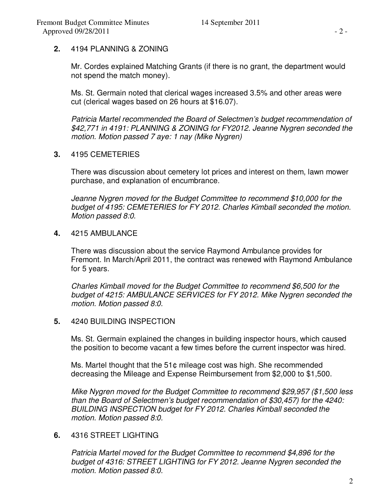#### **2.** 4194 PLANNING & ZONING

Mr. Cordes explained Matching Grants (if there is no grant, the department would not spend the match money).

Ms. St. Germain noted that clerical wages increased 3.5% and other areas were cut (clerical wages based on 26 hours at \$16.07).

*Patricia Martel recommended the Board of Selectmen's budget recommendation of \$42,771 in 4191: PLANNING & ZONING for FY2012. Jeanne Nygren seconded the motion. Motion passed 7 aye: 1 nay (Mike Nygren)* 

**3.** 4195 CEMETERIES

There was discussion about cemetery lot prices and interest on them, lawn mower purchase, and explanation of encumbrance.

*Jeanne Nygren moved for the Budget Committee to recommend \$10,000 for the budget of 4195: CEMETERIES for FY 2012. Charles Kimball seconded the motion. Motion passed 8:0.* 

**4.** 4215 AMBULANCE

There was discussion about the service Raymond Ambulance provides for Fremont. In March/April 2011, the contract was renewed with Raymond Ambulance for 5 years.

*Charles Kimball moved for the Budget Committee to recommend \$6,500 for the budget of 4215: AMBULANCE SERVICES for FY 2012. Mike Nygren seconded the motion. Motion passed 8:0.* 

**5.** 4240 BUILDING INSPECTION

Ms. St. Germain explained the changes in building inspector hours, which caused the position to become vacant a few times before the current inspector was hired.

Ms. Martel thought that the 51¢ mileage cost was high. She recommended decreasing the Mileage and Expense Reimbursement from \$2,000 to \$1,500.

*Mike Nygren moved for the Budget Committee to recommend \$29,957 (\$1,500 less than the Board of Selectmen's budget recommendation of \$30,457) for the 4240: BUILDING INSPECTION budget for FY 2012. Charles Kimball seconded the motion. Motion passed 8:0.* 

# **6.** 4316 STREET LIGHTING

*Patricia Martel moved for the Budget Committee to recommend \$4,896 for the budget of 4316: STREET LIGHTING for FY 2012. Jeanne Nygren seconded the motion. Motion passed 8:0.*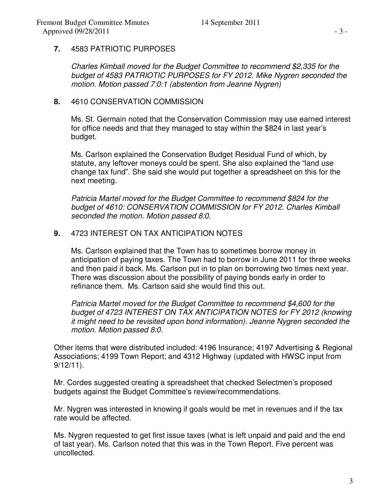# **7.** 4583 PATRIOTIC PURPOSES

*Charles Kimball moved for the Budget Committee to recommend \$2,335 for the budget of 4583 PATRIOTIC PURPOSES for FY 2012. Mike Nygren seconded the motion. Motion passed 7:0:1 (abstention from Jeanne Nygren)* 

#### **8.** 4610 CONSERVATION COMMISSION

Ms. St. Germain noted that the Conservation Commission may use earned interest for office needs and that they managed to stay within the \$824 in last year's budget.

Ms. Carlson explained the Conservation Budget Residual Fund of which, by statute, any leftover moneys could be spent. She also explained the "land use change tax fund". She said she would put together a spreadsheet on this for the next meeting.

*Patricia Martel moved for the Budget Committee to recommend \$824 for the budget of 4610: CONSERVATION COMMISSION for FY 2012. Charles Kimball seconded the motion. Motion passed 8:0.* 

#### **9.** 4723 INTEREST ON TAX ANTICIPATION NOTES

Ms. Carlson explained that the Town has to sometimes borrow money in anticipation of paying taxes. The Town had to borrow in June 2011 for three weeks and then paid it back. Ms. Carlson put in to plan on borrowing two times next year. There was discussion about the possibility of paying bonds early in order to refinance them. Ms. Carlson said she would find this out.

*Patricia Martel moved for the Budget Committee to recommend \$4,600 for the budget of 4723 INTEREST ON TAX ANTICIPATION NOTES for FY 2012 (knowing it might need to be revisited upon bond information). Jeanne Nygren seconded the motion. Motion passed 8:0.* 

Other items that were distributed included: 4196 Insurance; 4197 Advertising & Regional Associations; 4199 Town Report; and 4312 Highway (updated with HWSC input from 9/12/11).

Mr. Cordes suggested creating a spreadsheet that checked Selectmen's proposed budgets against the Budget Committee's review/recommendations.

Mr. Nygren was interested in knowing if goals would be met in revenues and if the tax rate would be affected.

Ms. Nygren requested to get first issue taxes (what is left unpaid and paid and the end of last year). Ms. Carlson noted that this was in the Town Report. Five percent was uncollected.